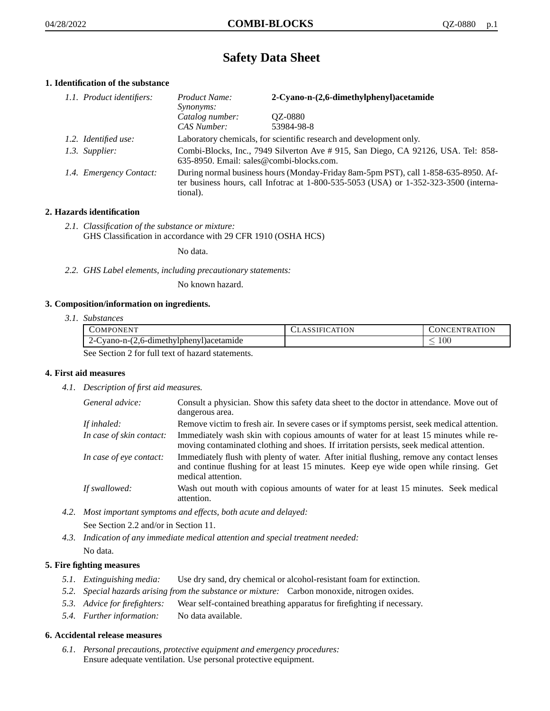# **Safety Data Sheet**

# **1. Identification of the substance**

| 1.1. Product identifiers: | Product Name:<br><i>Synonyms:</i>                                                                                                                                                       | 2-Cyano-n-(2,6-dimethylphenyl)acetamide                             |
|---------------------------|-----------------------------------------------------------------------------------------------------------------------------------------------------------------------------------------|---------------------------------------------------------------------|
|                           | Catalog number:<br>CAS Number:                                                                                                                                                          | QZ-0880<br>53984-98-8                                               |
| 1.2. Identified use:      |                                                                                                                                                                                         | Laboratory chemicals, for scientific research and development only. |
| 1.3. Supplier:            | Combi-Blocks, Inc., 7949 Silverton Ave # 915, San Diego, CA 92126, USA. Tel: 858-<br>635-8950. Email: sales@combi-blocks.com.                                                           |                                                                     |
| 1.4. Emergency Contact:   | During normal business hours (Monday-Friday 8am-5pm PST), call 1-858-635-8950. Af-<br>ter business hours, call Infotrac at 1-800-535-5053 (USA) or 1-352-323-3500 (interna-<br>tional). |                                                                     |

# **2. Hazards identification**

*2.1. Classification of the substance or mixture:* GHS Classification in accordance with 29 CFR 1910 (OSHA HCS)

No data.

*2.2. GHS Label elements, including precautionary statements:*

No known hazard.

# **3. Composition/information on ingredients.**

*3.1. Substances*

| COMPONENT                                        | <b>CLASSIFICATION</b> | CONCENTRATION |
|--------------------------------------------------|-----------------------|---------------|
| $2$ -Cyano-n- $(2,6$ -dimethylphenyl) acetamide  |                       | 100           |
| See Section 2 for full text of hegard statements |                       |               |

See Section 2 for full text of hazard statements.

# **4. First aid measures**

*4.1. Description of first aid measures.*

| General advice:          | Consult a physician. Show this safety data sheet to the doctor in attendance. Move out of<br>dangerous area.                                                                                            |
|--------------------------|---------------------------------------------------------------------------------------------------------------------------------------------------------------------------------------------------------|
| If inhaled:              | Remove victim to fresh air. In severe cases or if symptoms persist, seek medical attention.                                                                                                             |
| In case of skin contact: | Immediately wash skin with copious amounts of water for at least 15 minutes while re-<br>moving contaminated clothing and shoes. If irritation persists, seek medical attention.                        |
| In case of eye contact:  | Immediately flush with plenty of water. After initial flushing, remove any contact lenses<br>and continue flushing for at least 15 minutes. Keep eye wide open while rinsing. Get<br>medical attention. |
| If swallowed:            | Wash out mouth with copious amounts of water for at least 15 minutes. Seek medical<br>attention.                                                                                                        |

*4.2. Most important symptoms and effects, both acute and delayed:* See Section 2.2 and/or in Section 11.

*4.3. Indication of any immediate medical attention and special treatment needed:* No data.

# **5. Fire fighting measures**

- *5.1. Extinguishing media:* Use dry sand, dry chemical or alcohol-resistant foam for extinction.
- *5.2. Special hazards arising from the substance or mixture:* Carbon monoxide, nitrogen oxides.
- *5.3. Advice for firefighters:* Wear self-contained breathing apparatus for firefighting if necessary.
- *5.4. Further information:* No data available.

# **6. Accidental release measures**

*6.1. Personal precautions, protective equipment and emergency procedures:* Ensure adequate ventilation. Use personal protective equipment.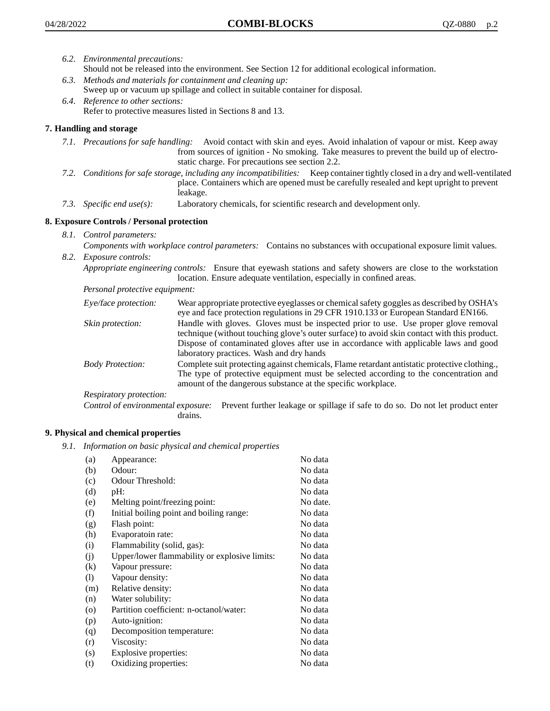- *6.2. Environmental precautions:* Should not be released into the environment. See Section 12 for additional ecological information.
- *6.3. Methods and materials for containment and cleaning up:* Sweep up or vacuum up spillage and collect in suitable container for disposal.
- *6.4. Reference to other sections:* Refer to protective measures listed in Sections 8 and 13.

# **7. Handling and storage**

- *7.1. Precautions for safe handling:* Avoid contact with skin and eyes. Avoid inhalation of vapour or mist. Keep away from sources of ignition - No smoking. Take measures to prevent the build up of electrostatic charge. For precautions see section 2.2.
- *7.2. Conditions for safe storage, including any incompatibilities:* Keep container tightly closed in a dry and well-ventilated place. Containers which are opened must be carefully resealed and kept upright to prevent leakage.
- *7.3. Specific end use(s):* Laboratory chemicals, for scientific research and development only.

# **8. Exposure Controls / Personal protection**

- *8.1. Control parameters:*
- *Components with workplace control parameters:* Contains no substances with occupational exposure limit values. *8.2. Exposure controls:*

*Appropriate engineering controls:* Ensure that eyewash stations and safety showers are close to the workstation location. Ensure adequate ventilation, especially in confined areas.

*Personal protective equipment:*

| Eye/face protection:    | Wear appropriate protective eyeglasses or chemical safety goggles as described by OSHA's<br>eye and face protection regulations in 29 CFR 1910.133 or European Standard EN166.                                                                                                                                         |
|-------------------------|------------------------------------------------------------------------------------------------------------------------------------------------------------------------------------------------------------------------------------------------------------------------------------------------------------------------|
| Skin protection:        | Handle with gloves. Gloves must be inspected prior to use. Use proper glove removal<br>technique (without touching glove's outer surface) to avoid skin contact with this product.<br>Dispose of contaminated gloves after use in accordance with applicable laws and good<br>laboratory practices. Wash and dry hands |
| <b>Body Protection:</b> | Complete suit protecting against chemicals, Flame retardant antistatic protective clothing.,<br>The type of protective equipment must be selected according to the concentration and<br>amount of the dangerous substance at the specific workplace.                                                                   |
| Respiratory protection: |                                                                                                                                                                                                                                                                                                                        |

Control of environmental exposure: Prevent further leakage or spillage if safe to do so. Do not let product enter drains.

# **9. Physical and chemical properties**

*9.1. Information on basic physical and chemical properties*

| (a)               | Appearance:                                   | No data  |
|-------------------|-----------------------------------------------|----------|
| (b)               | Odour:                                        | No data  |
| (c)               | Odour Threshold:                              | No data  |
| (d)               | pH:                                           | No data  |
| (e)               | Melting point/freezing point:                 | No date. |
| (f)               | Initial boiling point and boiling range:      | No data  |
| (g)               | Flash point:                                  | No data  |
| (h)               | Evaporatoin rate:                             | No data  |
| (i)               | Flammability (solid, gas):                    | No data  |
| (j)               | Upper/lower flammability or explosive limits: | No data  |
| $\left( k\right)$ | Vapour pressure:                              | No data  |
| (1)               | Vapour density:                               | No data  |
| (m)               | Relative density:                             | No data  |
| (n)               | Water solubility:                             | No data  |
| $\circ$           | Partition coefficient: n-octanol/water:       | No data  |
| (p)               | Auto-ignition:                                | No data  |
| (q)               | Decomposition temperature:                    | No data  |
| (r)               | Viscosity:                                    | No data  |
| (s)               | Explosive properties:                         | No data  |
| (t)               | Oxidizing properties:                         | No data  |